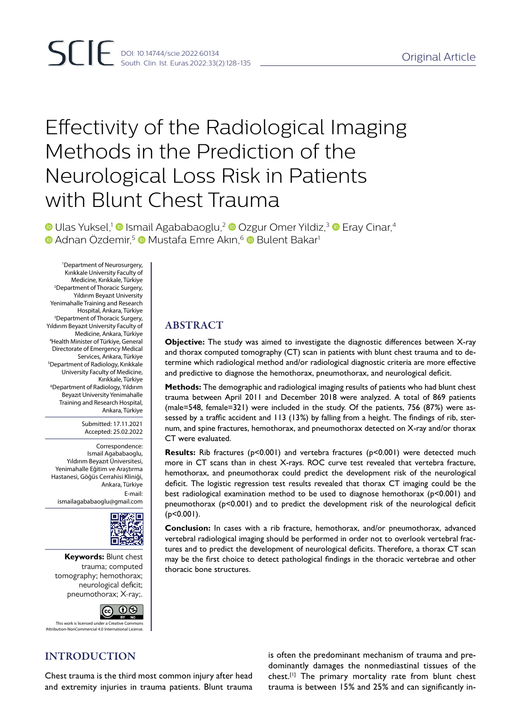# Effectivity of the Radiological Imaging Methods in the Prediction of the Neurological Loss Risk in Patients with Blunt Chest Trauma

**ID Ulas Yuksel,<sup>1</sup> D** Ismail Agababaoglu,<sup>2</sup> D Ozgur Omer Yildiz,<sup>3</sup> D Eray Cinar,<sup>4</sup> **D** Adnan Özdemir,<sup>5</sup> D Mustafa Emre Akın,<sup>6</sup> D Bulent Bakar<sup>1</sup>

1 Department of Neurosurgery, Kırıkkale University Faculty of Medicine, Kırıkkale, Türkiye 2 Department of Thoracic Surgery, Yıldırım Beyazıt University Yenimahalle Training and Research Hospital, Ankara, Türkiye 3 Department of Thoracic Surgery, Yıldırım Beyazıt University Faculty of Medicine, Ankara, Türkiye 4 Health Minister of Türkiye, General Directorate of Emergency Medical Services, Ankara, Türkiye 5 Department of Radiology, Kırıkkale University Faculty of Medicine, Kırıkkale, Türkiye 6 Department of Radiology, Yıldırım Beyazıt University Yenimahalle Training and Research Hospital, Ankara, Türkiye

> Submitted: 17.11.2021 Accepted: 25.02.2022

Correspondence: Ismail Agababaoglu, Yıldırım Beyazıt Üniversitesi, Yenimahalle Eğitim ve Araştırma Hastanesi, Göğüs Cerrahisi Kliniği, Ankara, Türkiye E-mail:

ismailagababaoglu@gmail.com



**Keywords:** Blunt chest trauma; computed tomography; hemothorax; neurological deficit; pneumothorax; X-ray;.



This work is licensed under a Creative Common **ttion-NonCommercial 4.0 International License** 

# INTRODUCTION

ABSTRACT

**Objective:** The study was aimed to investigate the diagnostic differences between X-ray and thorax computed tomography (CT) scan in patients with blunt chest trauma and to determine which radiological method and/or radiological diagnostic criteria are more effective and predictive to diagnose the hemothorax, pneumothorax, and neurological deficit.

**Methods:** The demographic and radiological imaging results of patients who had blunt chest trauma between April 2011 and December 2018 were analyzed. A total of 869 patients (male=548, female=321) were included in the study. Of the patients, 756 (87%) were assessed by a traffic accident and 113 (13%) by falling from a height. The findings of rib, sternum, and spine fractures, hemothorax, and pneumothorax detected on X-ray and/or thorax CT were evaluated.

**Results:** Rib fractures (p<0.001) and vertebra fractures (p<0.001) were detected much more in CT scans than in chest X-rays. ROC curve test revealed that vertebra fracture, hemothorax, and pneumothorax could predict the development risk of the neurological deficit. The logistic regression test results revealed that thorax CT imaging could be the best radiological examination method to be used to diagnose hemothorax (p<0.001) and pneumothorax (p<0.001) and to predict the development risk of the neurological deficit  $(p<0.001)$ .

**Conclusion:** In cases with a rib fracture, hemothorax, and/or pneumothorax, advanced vertebral radiological imaging should be performed in order not to overlook vertebral fractures and to predict the development of neurological deficits. Therefore, a thorax CT scan may be the first choice to detect pathological findings in the thoracic vertebrae and other thoracic bone structures.

Chest trauma is the third most common injury after head and extremity injuries in trauma patients. Blunt trauma is often the predominant mechanism of trauma and predominantly damages the nonmediastinal tissues of the chest.[1] The primary mortality rate from blunt chest trauma is between 15% and 25% and can significantly in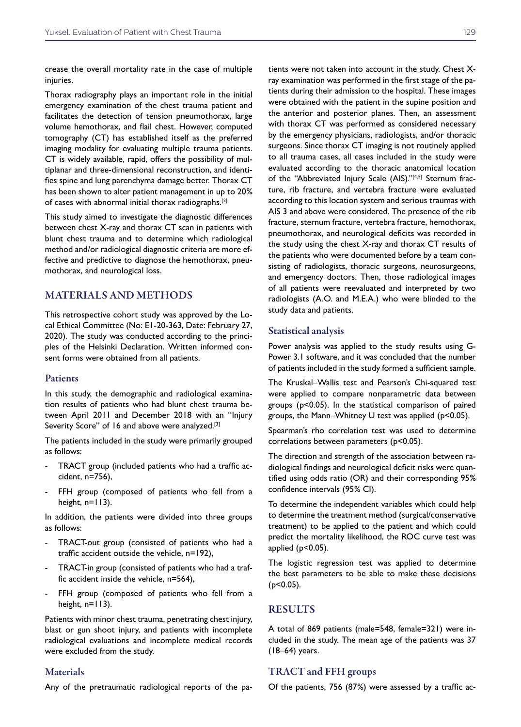crease the overall mortality rate in the case of multiple injuries.

Thorax radiography plays an important role in the initial emergency examination of the chest trauma patient and facilitates the detection of tension pneumothorax, large volume hemothorax, and flail chest. However, computed tomography (CT) has established itself as the preferred imaging modality for evaluating multiple trauma patients. CT is widely available, rapid, offers the possibility of multiplanar and three-dimensional reconstruction, and identifies spine and lung parenchyma damage better. Thorax CT has been shown to alter patient management in up to 20% of cases with abnormal initial thorax radiographs.[2]

This study aimed to investigate the diagnostic differences between chest X-ray and thorax CT scan in patients with blunt chest trauma and to determine which radiological method and/or radiological diagnostic criteria are more effective and predictive to diagnose the hemothorax, pneumothorax, and neurological loss.

## MATERIALS AND METHODS

This retrospective cohort study was approved by the Local Ethical Committee (No: E1-20-363, Date: February 27, 2020). The study was conducted according to the principles of the Helsinki Declaration. Written informed consent forms were obtained from all patients.

### **Patients**

In this study, the demographic and radiological examination results of patients who had blunt chest trauma between April 2011 and December 2018 with an "Injury Severity Score" of 16 and above were analyzed.<sup>[3]</sup>

The patients included in the study were primarily grouped as follows:

- TRACT group (included patients who had a traffic accident, n=756),
- FFH group (composed of patients who fell from a height,  $n=113$ ).

In addition, the patients were divided into three groups as follows:

- TRACT-out group (consisted of patients who had a traffic accident outside the vehicle, n=192),
- TRACT-in group (consisted of patients who had a traffic accident inside the vehicle, n=564),
- FFH group (composed of patients who fell from a height,  $n=113$ ).

Patients with minor chest trauma, penetrating chest injury, blast or gun shoot injury, and patients with incomplete radiological evaluations and incomplete medical records were excluded from the study.

#### Materials

Any of the pretraumatic radiological reports of the pa-

tients were not taken into account in the study. Chest Xray examination was performed in the first stage of the patients during their admission to the hospital. These images were obtained with the patient in the supine position and the anterior and posterior planes. Then, an assessment with thorax CT was performed as considered necessary by the emergency physicians, radiologists, and/or thoracic surgeons. Since thorax CT imaging is not routinely applied to all trauma cases, all cases included in the study were evaluated according to the thoracic anatomical location of the "Abbreviated Injury Scale (AIS)."<sup>[4,5]</sup> Sternum fracture, rib fracture, and vertebra fracture were evaluated according to this location system and serious traumas with AIS 3 and above were considered. The presence of the rib fracture, sternum fracture, vertebra fracture, hemothorax, pneumothorax, and neurological deficits was recorded in the study using the chest X-ray and thorax CT results of the patients who were documented before by a team consisting of radiologists, thoracic surgeons, neurosurgeons, and emergency doctors. Then, those radiological images of all patients were reevaluated and interpreted by two radiologists (A.O. and M.E.A.) who were blinded to the study data and patients.

#### Statistical analysis

Power analysis was applied to the study results using G-Power 3.1 software, and it was concluded that the number of patients included in the study formed a sufficient sample.

The Kruskal–Wallis test and Pearson's Chi-squared test were applied to compare nonparametric data between groups (p<0.05). In the statistical comparison of paired groups, the Mann–Whitney U test was applied (p<0.05).

Spearman's rho correlation test was used to determine correlations between parameters (p<0.05).

The direction and strength of the association between radiological findings and neurological deficit risks were quantified using odds ratio (OR) and their corresponding 95% confidence intervals (95% CI).

To determine the independent variables which could help to determine the treatment method (surgical/conservative treatment) to be applied to the patient and which could predict the mortality likelihood, the ROC curve test was applied (p<0.05).

The logistic regression test was applied to determine the best parameters to be able to make these decisions (p<0.05).

## RESULTS

A total of 869 patients (male=548, female=321) were included in the study. The mean age of the patients was 37 (18–64) years.

## TRACT and FFH groups

Of the patients, 756 (87%) were assessed by a traffic ac-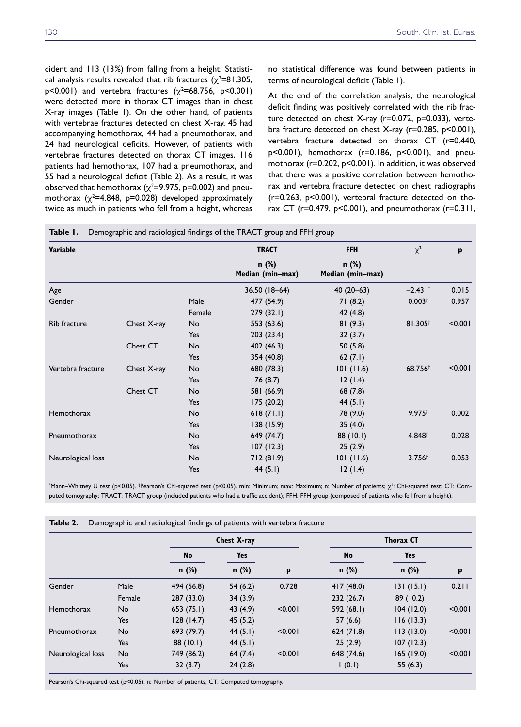cident and 113 (13%) from falling from a height. Statistical analysis results revealed that rib fractures ( $\chi^2$ =81.305,  $p$ <0.001) and vertebra fractures  $(\chi^2=68.756, p<0.001)$ were detected more in thorax CT images than in chest X-ray images (Table 1). On the other hand, of patients with vertebrae fractures detected on chest X-ray, 45 had accompanying hemothorax, 44 had a pneumothorax, and 24 had neurological deficits. However, of patients with vertebrae fractures detected on thorax CT images, 116 patients had hemothorax, 107 had a pneumothorax, and 55 had a neurological deficit (Table 2). As a result, it was observed that hemothorax ( $\chi^2$ =9.975, p=0.002) and pneumothorax  $(\chi^2$ =4.848, p=0.028) developed approximately twice as much in patients who fell from a height, whereas

no statistical difference was found between patients in terms of neurological deficit (Table 1).

At the end of the correlation analysis, the neurological deficit finding was positively correlated with the rib fracture detected on chest X-ray (r=0.072, p=0.033), vertebra fracture detected on chest X-ray (r=0.285, p<0.001), vertebra fracture detected on thorax CT (r=0.440, p<0.001), hemothorax (r=0.186, p<0.001), and pneumothorax (r=0.202, p<0.001). In addition, it was observed that there was a positive correlation between hemothorax and vertebra fracture detected on chest radiographs (r=0.263, p<0.001), vertebral fracture detected on thorax CT (r=0.479, p<0.001), and pneumothorax (r=0.311,

| Variable          |             |        | <b>TRACT</b>                | <b>FFH</b>                  | $\chi^2$             | p       |  |
|-------------------|-------------|--------|-----------------------------|-----------------------------|----------------------|---------|--|
|                   |             |        | $n$ (%)<br>Median (min-max) | $n$ (%)<br>Median (min-max) |                      |         |  |
| Age               |             |        | $36.50(18-64)$              | $40(20-63)$                 | $-2.431$             | 0.015   |  |
| Gender            |             | Male   | 477 (54.9)                  | 71(8.2)                     | 0.003 <sup>†</sup>   | 0.957   |  |
|                   |             | Female | 279(32.1)                   | 42(4.8)                     |                      |         |  |
| Rib fracture      | Chest X-ray | No     | 553 (63.6)                  | 81(9.3)                     | $81.305^+$           | < 0.001 |  |
|                   |             | Yes    | 203(23.4)                   | 32(3.7)                     |                      |         |  |
|                   | Chest CT    | No     | 402 (46.3)                  | 50(5.8)                     |                      |         |  |
|                   |             | Yes    | 354 (40.8)                  | 62 $(7.1)$                  |                      |         |  |
| Vertebra fracture | Chest X-ray | No     | 680 (78.3)                  | 101(11.6)                   | 68.756               | < 0.001 |  |
|                   |             | Yes    | 76 (8.7)                    | 12(1.4)                     |                      |         |  |
|                   | Chest CT    | No     | 581 (66.9)                  | 68 (7.8)                    |                      |         |  |
|                   |             | Yes    | 175 (20.2)                  | 44(5.1)                     |                      |         |  |
| Hemothorax        |             | No     | 618(71.1)                   | 78 (9.0)                    | $9.975$ <sup>†</sup> | 0.002   |  |
|                   |             | Yes    | 138(15.9)                   | 35(4.0)                     |                      |         |  |
| Pneumothorax      |             | No     | 649 (74.7)                  | 88 (10.1)                   | $4.848^+$            | 0.028   |  |
|                   |             | Yes    | 107(12.3)                   | 25(2.9)                     |                      |         |  |
| Neurological loss |             | No     | 712 (81.9)                  | 101(11.6)                   | $3.756^+$            | 0.053   |  |
|                   |             | Yes    | 44 $(5.1)$                  | 12(1.4)                     |                      |         |  |

\*Mann–Whitney U test (p<0.05). †Pearson's Chi-squared test (p<0.05). min: Minimum; max: Maximum; n: Number of patients; χ<sup>2</sup>: Chi-squared test; CT: Computed tomography; TRACT: TRACT group (included patients who had a traffic accident); FFH: FFH group (composed of patients who fell from a height).

|                   |            | Chest X-ray |         |         | <b>Thorax CT</b> |           |         |  |
|-------------------|------------|-------------|---------|---------|------------------|-----------|---------|--|
|                   |            | No          | Yes     |         | No               | Yes       |         |  |
|                   |            | $n$ (%)     | $n$ (%) | p       | $n$ (%)          | $n$ (%)   | p       |  |
| Gender            | Male       | 494 (56.8)  | 54(6.2) | 0.728   | 417(48.0)        | 131(15.1) | 0.211   |  |
|                   | Female     | 287 (33.0)  | 34(3.9) |         | 232(26.7)        | 89 (10.2) |         |  |
| Hemothorax        | No.        | 653(75.1)   | 43(4.9) | < 0.001 | 592 (68.1)       | 104(12.0) | < 0.001 |  |
|                   | <b>Yes</b> | 128(14.7)   | 45(5.2) |         | 57(6.6)          | 116(13.3) |         |  |
| Pneumothorax      | <b>No</b>  | 693 (79.7)  | 44(5.1) | < 0.001 | 624(71.8)        | 113(13.0) | < 0.001 |  |
|                   | Yes        | 88 (10.1)   | 44(5.1) |         | 25(2.9)          | 107(12.3) |         |  |
| Neurological loss | <b>No</b>  | 749 (86.2)  | 64(7.4) | < 0.001 | 648 (74.6)       | 165(19.0) | < 0.001 |  |
|                   | Yes        | 32(3.7)     | 24(2.8) |         | (0.1)            | 55(6.3)   |         |  |

**Table 2.** Demographic and radiological findings of patients with vertebra fracture

Pearson's Chi-squared test (p<0.05). n: Number of patients; CT: Computed tomography.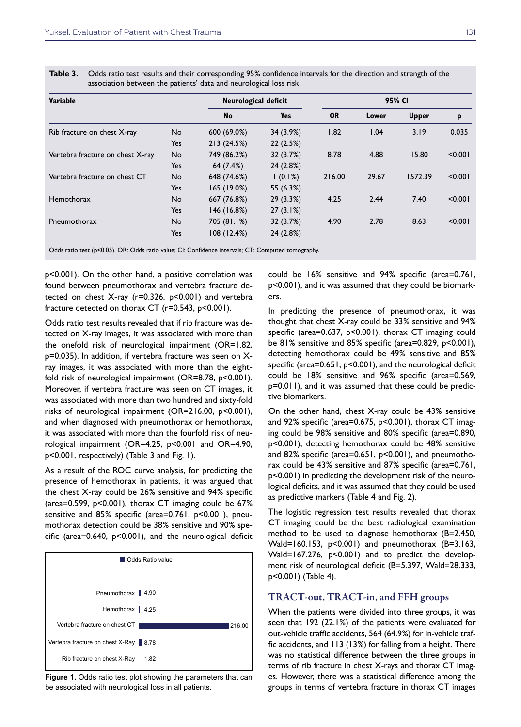| Table 3. |  |
|----------|--|
|----------|--|

| Variable                         |            | Neurological deficit | 95% CI     |           |       |              |         |
|----------------------------------|------------|----------------------|------------|-----------|-------|--------------|---------|
|                                  |            | No                   | <b>Yes</b> | <b>OR</b> | Lower | <b>Upper</b> | P       |
| Rib fracture on chest X-ray      | <b>No</b>  | 600 (69.0%)          | 34 (3.9%)  | 1.82      | 1.04  | 3.19         | 0.035   |
|                                  | Yes        | 213 (24.5%)          | 22(2.5%)   |           |       |              |         |
| Vertebra fracture on chest X-ray | No.        | 749 (86.2%)          | 32 (3.7%)  | 8.78      | 4.88  | 15.80        | < 0.001 |
|                                  | Yes        | 64 (7.4%)            | 24 (2.8%)  |           |       |              |         |
| Vertebra fracture on chest CT    | No.        | 648 (74.6%)          | $(0.1\%)$  | 216.00    | 29.67 | 1572.39      | < 0.001 |
|                                  | <b>Yes</b> | 165 (19.0%)          | 55 (6.3%)  |           |       |              |         |
| Hemothorax                       | <b>No</b>  | 667 (76.8%)          | 29(3.3%)   | 4.25      | 2.44  | 7.40         | < 0.001 |
|                                  | Yes        | 146 (16.8%)          | 27(3.1%)   |           |       |              |         |
| Pneumothorax                     | <b>No</b>  | 705 (81.1%)          | 32 (3.7%)  | 4.90      | 2.78  | 8.63         | < 0.001 |
|                                  | Yes        | 108(12.4%)           | 24 (2.8%)  |           |       |              |         |

**Table 3.** Odds ratio test results and their corresponding 95% confidence intervals for the direction and strength of the association between the patients' data and neurological loss risk

Odds ratio test (p<0.05). OR: Odds ratio value; CI: Confidence intervals; CT: Computed tomography.

p<0.001). On the other hand, a positive correlation was found between pneumothorax and vertebra fracture detected on chest X-ray (r=0.326, p<0.001) and vertebra fracture detected on thorax CT (r=0.543, p<0.001).

Odds ratio test results revealed that if rib fracture was detected on X-ray images, it was associated with more than the onefold risk of neurological impairment (OR=1.82, p=0.035). In addition, if vertebra fracture was seen on Xray images, it was associated with more than the eightfold risk of neurological impairment (OR=8.78, p<0.001). Moreover, if vertebra fracture was seen on CT images, it was associated with more than two hundred and sixty-fold risks of neurological impairment (OR=216.00, p<0.001), and when diagnosed with pneumothorax or hemothorax, it was associated with more than the fourfold risk of neurological impairment (OR=4.25, p<0.001 and OR=4.90, p<0.001, respectively) (Table 3 and Fig. 1).

As a result of the ROC curve analysis, for predicting the presence of hemothorax in patients, it was argued that the chest X-ray could be 26% sensitive and 94% specific (area=0.599, p<0.001), thorax CT imaging could be 67% sensitive and 85% specific (area=0.761, p<0.001), pneumothorax detection could be 38% sensitive and 90% specific (area=0.640, p<0.001), and the neurological deficit



**Figure 1.** Odds ratio test plot showing the parameters that can be associated with neurological loss in all patients.

could be 16% sensitive and 94% specific (area=0.761, p<0.001), and it was assumed that they could be biomarkers.

In predicting the presence of pneumothorax, it was thought that chest X-ray could be 33% sensitive and 94% specific (area=0.637, p<0.001), thorax CT imaging could be  $81\%$  sensitive and  $85\%$  specific (area=0.829, p<0.001), detecting hemothorax could be 49% sensitive and 85% specific (area=0.651, p<0.001), and the neurological deficit could be 18% sensitive and 96% specific (area=0.569, p=0.011), and it was assumed that these could be predictive biomarkers.

On the other hand, chest X-ray could be 43% sensitive and 92% specific (area=0.675, p<0.001), thorax CT imaging could be 98% sensitive and 80% specific (area=0.890, p<0.001), detecting hemothorax could be 48% sensitive and 82% specific (area=0.651, p<0.001), and pneumothorax could be 43% sensitive and 87% specific (area=0.761, p<0.001) in predicting the development risk of the neurological deficits, and it was assumed that they could be used as predictive markers (Table 4 and Fig. 2).

The logistic regression test results revealed that thorax CT imaging could be the best radiological examination method to be used to diagnose hemothorax (B=2.450, Wald=160.153, p<0.001) and pneumothorax (B=3.163, Wald=167.276, p<0.001) and to predict the development risk of neurological deficit (B=5.397, Wald=28.333, p<0.001) (Table 4).

## TRACT-out, TRACT-in, and FFH groups

When the patients were divided into three groups, it was seen that 192 (22.1%) of the patients were evaluated for out-vehicle traffic accidents, 564 (64.9%) for in-vehicle traffic accidents, and 113 (13%) for falling from a height. There was no statistical difference between the three groups in terms of rib fracture in chest X-rays and thorax CT images. However, there was a statistical difference among the groups in terms of vertebra fracture in thorax CT images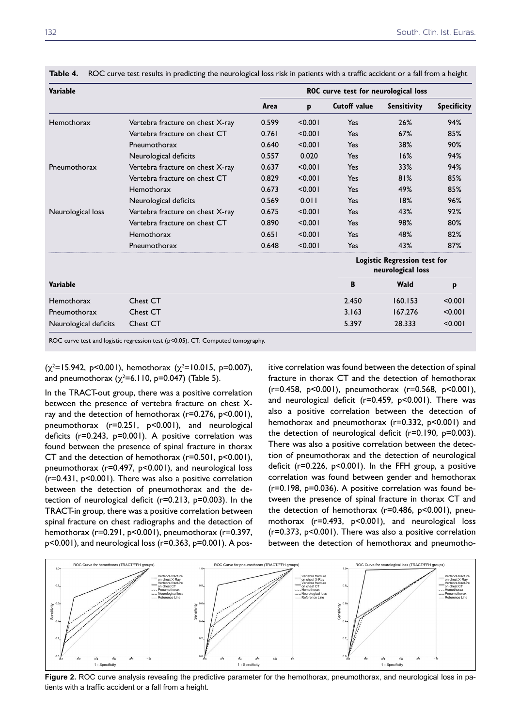| Variable              |                                  | ROC curve test for neurological loss |         |                     |                                                   |                    |  |  |
|-----------------------|----------------------------------|--------------------------------------|---------|---------------------|---------------------------------------------------|--------------------|--|--|
|                       |                                  | Area                                 | p       | <b>Cutoff value</b> | <b>Sensitivity</b>                                | <b>Specificity</b> |  |  |
| Hemothorax            | Vertebra fracture on chest X-ray | 0.599                                | < 0.001 | Yes                 | 26%                                               | 94%                |  |  |
|                       | Vertebra fracture on chest CT    | 0.761                                | < 0.001 | Yes                 | 67%                                               | 85%                |  |  |
|                       | Pneumothorax                     | 0.640                                | < 0.001 | Yes                 | 38%                                               | 90%                |  |  |
|                       | Neurological deficits            | 0.557                                | 0.020   | Yes                 | 16%                                               | 94%                |  |  |
| Pneumothorax          | Vertebra fracture on chest X-ray | 0.637                                | < 0.001 | Yes                 | 33%                                               | 94%                |  |  |
|                       | Vertebra fracture on chest CT    | 0.829                                | < 0.001 | Yes                 | 81%                                               | 85%                |  |  |
|                       | Hemothorax                       | 0.673                                | < 0.001 | Yes                 | 49%                                               | 85%                |  |  |
|                       | Neurological deficits            | 0.569                                | 0.011   | Yes                 | 18%                                               | 96%                |  |  |
| Neurological loss     | Vertebra fracture on chest X-ray | 0.675                                | < 0.001 | Yes                 | 43%                                               | 92%                |  |  |
|                       | Vertebra fracture on chest CT    | 0.890                                | < 0.001 | Yes                 | 98%                                               | 80%                |  |  |
|                       | Hemothorax                       | 0.651                                | < 0.001 | Yes                 | 48%                                               | 82%                |  |  |
|                       | Pneumothorax                     | 0.648                                | < 0.001 | Yes                 | 43%                                               | 87%                |  |  |
|                       |                                  |                                      |         |                     | Logistic Regression test for<br>neurological loss |                    |  |  |
| Variable              |                                  |                                      |         | B                   | Wald                                              | p                  |  |  |
| Hemothorax            | Chest CT                         |                                      |         | 2.450               | 160.153                                           | < 0.001            |  |  |
| Pneumothorax          | Chest CT                         |                                      |         | 3.163               | 167.276                                           | < 0.001            |  |  |
| Neurological deficits | Chest CT                         |                                      |         | 5.397               | 28.333                                            | < 0.001            |  |  |

**Table 4.** ROC curve test results in predicting the neurological loss risk in patients with a traffic accident or a fall from a height

ROC curve test and logistic regression test (p<0.05). CT: Computed tomography.

 $(\chi^2=15.942, p<0.001)$ , hemothorax  $(\chi^2=10.015, p=0.007)$ , and pneumothorax ( $\chi^2$ =6.110, p=0.047) (Table 5).

In the TRACT-out group, there was a positive correlation between the presence of vertebra fracture on chest Xray and the detection of hemothorax (r=0.276, p<0.001), pneumothorax (r=0.251, p<0.001), and neurological deficits (r=0.243, p=0.001). A positive correlation was found between the presence of spinal fracture in thorax CT and the detection of hemothorax (r=0.501, p<0.001), pneumothorax (r=0.497, p<0.001), and neurological loss (r=0.431, p<0.001). There was also a positive correlation between the detection of pneumothorax and the detection of neurological deficit (r=0.213, p=0.003). In the TRACT-in group, there was a positive correlation between spinal fracture on chest radiographs and the detection of hemothorax (r=0.291, p<0.001), pneumothorax (r=0.397, p<0.001), and neurological loss (r=0.363, p=0.001). A pos-

itive correlation was found between the detection of spinal fracture in thorax CT and the detection of hemothorax (r=0.458, p<0.001), pneumothorax (r=0.568, p<0.001), and neurological deficit (r=0.459, p<0.001). There was also a positive correlation between the detection of hemothorax and pneumothorax (r=0.332, p<0.001) and the detection of neurological deficit (r=0.190, p=0.003). There was also a positive correlation between the detection of pneumothorax and the detection of neurological deficit (r=0.226, p<0.001). In the FFH group, a positive correlation was found between gender and hemothorax (r=0.198, p=0.036). A positive correlation was found between the presence of spinal fracture in thorax CT and the detection of hemothorax (r=0.486, p<0.001), pneumothorax (r=0.493, p<0.001), and neurological loss (r=0.373, p<0.001). There was also a positive correlation between the detection of hemothorax and pneumotho-



Figure 2. ROC curve analysis revealing the predictive parameter for the hemothorax, pneumothorax, and neurological loss in patients with a traffic accident or a fall from a height.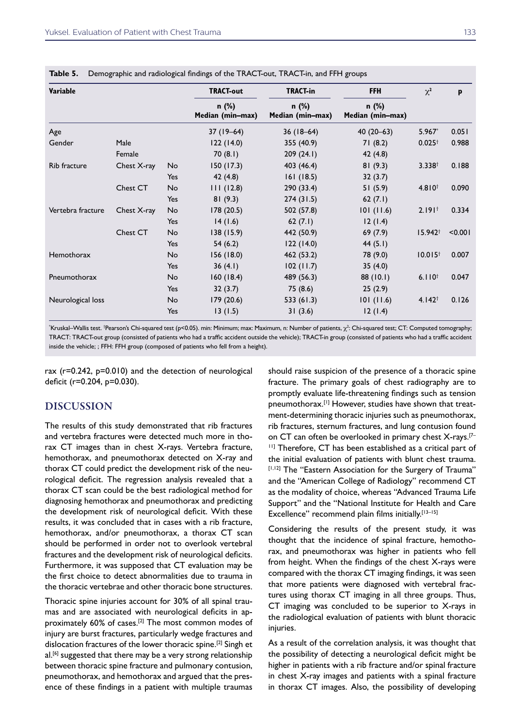| Variable          |             |     | <b>TRACT-out</b>            | <b>TRACT-in</b>           | <b>FFH</b>                  | $\chi^2$           | p       |
|-------------------|-------------|-----|-----------------------------|---------------------------|-----------------------------|--------------------|---------|
|                   |             |     | $n$ (%)<br>Median (min-max) | n (%)<br>Median (min-max) | $n$ (%)<br>Median (min-max) |                    |         |
| Age               |             |     | $37(19-64)$                 | $36(18-64)$               | 40 $(20-63)$                | $5.967*$           | 0.051   |
| Gender            | Male        |     | 122(14.0)                   | 355 (40.9)                | 71(8.2)                     | $0.025^{\dagger}$  | 0.988   |
|                   | Female      |     | 70(8.1)                     | 209(24.1)                 | 42(4.8)                     |                    |         |
| Rib fracture      | Chest X-ray | No  | 150(17.3)                   | 403 (46.4)                | 81(9.3)                     | $3.338^{+}$        | 0.188   |
|                   |             | Yes | 42(4.8)                     | 161(18.5)                 | 32(3.7)                     |                    |         |
|                   | Chest CT    | No  | 111(12.8)                   | 290 (33.4)                | 51(5.9)                     | $4.810^{+}$        | 0.090   |
|                   |             | Yes | 81(9.3)                     | 274(31.5)                 | 62 $(7.1)$                  |                    |         |
| Vertebra fracture | Chest X-ray | No  | 178 (20.5)                  | 502 (57.8)                | 101(11.6)                   | 2.191 <sup>†</sup> | 0.334   |
|                   |             | Yes | 14(1.6)                     | 62 $(7.1)$                | 12(1.4)                     |                    |         |
|                   | Chest CT    | No  | 138 (15.9)                  | 442 (50.9)                | 69(7.9)                     | $15.942^+$         | < 0.001 |
|                   |             | Yes | 54(6.2)                     | 122(14.0)                 | 44 $(5.1)$                  |                    |         |
| Hemothorax        |             | No  | 156(18.0)                   | 462 (53.2)                | 78 (9.0)                    | $10.015^+$         | 0.007   |
|                   |             | Yes | 36(4.1)                     | 102(11.7)                 | 35(4.0)                     |                    |         |
| Pneumothorax      |             | No  | 160(18.4)                   | 489 (56.3)                | 88 (10.1)                   | $6.110^{+}$        | 0.047   |
|                   |             | Yes | 32(3.7)                     | 75 (8.6)                  | 25(2.9)                     |                    |         |
| Neurological loss |             | No  | 179 (20.6)                  | 533 (61.3)                | 101(11.6)                   | $4.142^+$          | 0.126   |
|                   |             | Yes | 13(1.5)                     | 31(3.6)                   | 12(1.4)                     |                    |         |
|                   |             |     |                             |                           |                             |                    |         |

**Table 5.** Demographic and radiological findings of the TRACT-out, TRACT-in, and FFH groups

\*Kruskal–Wallis test. †Pearson's Chi-squared test (p<0.05). min: Minimum; max: Maximum, n: Number of patients, χ²: Chi-squared test; CT: Computed tomography; TRACT: TRACT-out group (consisted of patients who had a traffic accident outside the vehicle); TRACT-in group (consisted of patients who had a traffic accident inside the vehicle; ; FFH: FFH group (composed of patients who fell from a height).

rax (r=0.242, p=0.010) and the detection of neurological deficit (r=0.204, p=0.030).

## DISCUSSION

The results of this study demonstrated that rib fractures and vertebra fractures were detected much more in thorax CT images than in chest X-rays. Vertebra fracture, hemothorax, and pneumothorax detected on X-ray and thorax CT could predict the development risk of the neurological deficit. The regression analysis revealed that a thorax CT scan could be the best radiological method for diagnosing hemothorax and pneumothorax and predicting the development risk of neurological deficit. With these results, it was concluded that in cases with a rib fracture, hemothorax, and/or pneumothorax, a thorax CT scan should be performed in order not to overlook vertebral fractures and the development risk of neurological deficits. Furthermore, it was supposed that CT evaluation may be the first choice to detect abnormalities due to trauma in the thoracic vertebrae and other thoracic bone structures.

Thoracic spine injuries account for 30% of all spinal traumas and are associated with neurological deficits in approximately 60% of cases.<sup>[2]</sup> The most common modes of injury are burst fractures, particularly wedge fractures and dislocation fractures of the lower thoracic spine.<sup>[2]</sup> Singh et al.<sup>[6]</sup> suggested that there may be a very strong relationship between thoracic spine fracture and pulmonary contusion, pneumothorax, and hemothorax and argued that the presence of these findings in a patient with multiple traumas

should raise suspicion of the presence of a thoracic spine fracture. The primary goals of chest radiography are to promptly evaluate life-threatening findings such as tension pneumothorax.[1] However, studies have shown that treatment-determining thoracic injuries such as pneumothorax, rib fractures, sternum fractures, and lung contusion found on CT can often be overlooked in primary chest X-rays.[7– <sup>11]</sup> Therefore, CT has been established as a critical part of the initial evaluation of patients with blunt chest trauma. [1,12] The "Eastern Association for the Surgery of Trauma" and the "American College of Radiology" recommend CT as the modality of choice, whereas "Advanced Trauma Life Support" and the "National Institute for Health and Care Excellence" recommend plain films initially.<sup>[13-15]</sup>

Considering the results of the present study, it was thought that the incidence of spinal fracture, hemothorax, and pneumothorax was higher in patients who fell from height. When the findings of the chest X-rays were compared with the thorax CT imaging findings, it was seen that more patients were diagnosed with vertebral fractures using thorax CT imaging in all three groups. Thus, CT imaging was concluded to be superior to X-rays in the radiological evaluation of patients with blunt thoracic iniuries.

As a result of the correlation analysis, it was thought that the possibility of detecting a neurological deficit might be higher in patients with a rib fracture and/or spinal fracture in chest X-ray images and patients with a spinal fracture in thorax CT images. Also, the possibility of developing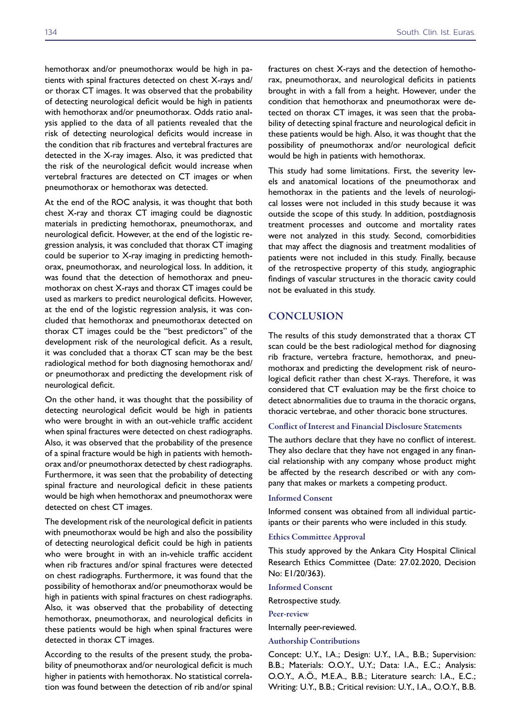hemothorax and/or pneumothorax would be high in patients with spinal fractures detected on chest X-rays and/ or thorax CT images. It was observed that the probability of detecting neurological deficit would be high in patients with hemothorax and/or pneumothorax. Odds ratio analysis applied to the data of all patients revealed that the risk of detecting neurological deficits would increase in the condition that rib fractures and vertebral fractures are detected in the X-ray images. Also, it was predicted that the risk of the neurological deficit would increase when vertebral fractures are detected on CT images or when pneumothorax or hemothorax was detected.

At the end of the ROC analysis, it was thought that both chest X-ray and thorax CT imaging could be diagnostic materials in predicting hemothorax, pneumothorax, and neurological deficit. However, at the end of the logistic regression analysis, it was concluded that thorax CT imaging could be superior to X-ray imaging in predicting hemothorax, pneumothorax, and neurological loss. In addition, it was found that the detection of hemothorax and pneumothorax on chest X-rays and thorax CT images could be used as markers to predict neurological deficits. However, at the end of the logistic regression analysis, it was concluded that hemothorax and pneumothorax detected on thorax CT images could be the "best predictors" of the development risk of the neurological deficit. As a result, it was concluded that a thorax CT scan may be the best radiological method for both diagnosing hemothorax and/ or pneumothorax and predicting the development risk of neurological deficit.

On the other hand, it was thought that the possibility of detecting neurological deficit would be high in patients who were brought in with an out-vehicle traffic accident when spinal fractures were detected on chest radiographs. Also, it was observed that the probability of the presence of a spinal fracture would be high in patients with hemothorax and/or pneumothorax detected by chest radiographs. Furthermore, it was seen that the probability of detecting spinal fracture and neurological deficit in these patients would be high when hemothorax and pneumothorax were detected on chest CT images.

The development risk of the neurological deficit in patients with pneumothorax would be high and also the possibility of detecting neurological deficit could be high in patients who were brought in with an in-vehicle traffic accident when rib fractures and/or spinal fractures were detected on chest radiographs. Furthermore, it was found that the possibility of hemothorax and/or pneumothorax would be high in patients with spinal fractures on chest radiographs. Also, it was observed that the probability of detecting hemothorax, pneumothorax, and neurological deficits in these patients would be high when spinal fractures were detected in thorax CT images.

According to the results of the present study, the probability of pneumothorax and/or neurological deficit is much higher in patients with hemothorax. No statistical correlation was found between the detection of rib and/or spinal fractures on chest X-rays and the detection of hemothorax, pneumothorax, and neurological deficits in patients brought in with a fall from a height. However, under the condition that hemothorax and pneumothorax were detected on thorax CT images, it was seen that the probability of detecting spinal fracture and neurological deficit in these patients would be high. Also, it was thought that the possibility of pneumothorax and/or neurological deficit would be high in patients with hemothorax.

This study had some limitations. First, the severity levels and anatomical locations of the pneumothorax and hemothorax in the patients and the levels of neurological losses were not included in this study because it was outside the scope of this study. In addition, postdiagnosis treatment processes and outcome and mortality rates were not analyzed in this study. Second, comorbidities that may affect the diagnosis and treatment modalities of patients were not included in this study. Finally, because of the retrospective property of this study, angiographic findings of vascular structures in the thoracic cavity could not be evaluated in this study.

## **CONCLUSION**

The results of this study demonstrated that a thorax CT scan could be the best radiological method for diagnosing rib fracture, vertebra fracture, hemothorax, and pneumothorax and predicting the development risk of neurological deficit rather than chest X-rays. Therefore, it was considered that CT evaluation may be the first choice to detect abnormalities due to trauma in the thoracic organs, thoracic vertebrae, and other thoracic bone structures.

## Conflict of Interest and Financial Disclosure Statements

The authors declare that they have no conflict of interest. They also declare that they have not engaged in any financial relationship with any company whose product might be affected by the research described or with any company that makes or markets a competing product.

#### Informed Consent

Informed consent was obtained from all individual participants or their parents who were included in this study.

#### Ethics Committee Approval

This study approved by the Ankara City Hospital Clinical Research Ethics Committee (Date: 27.02.2020, Decision No: E1/20/363).

Informed Consent

Retrospective study.

Peer-review

Internally peer-reviewed.

#### Authorship Contributions

Concept: U.Y., I.A.; Design: U.Y., I.A., B.B.; Supervision: B.B.; Materials: O.O.Y., U.Y.; Data: I.A., E.C.; Analysis: O.O.Y., A.Ö., M.E.A., B.B.; Literature search: I.A., E.C.; Writing: U.Y., B.B.; Critical revision: U.Y., I.A., O.O.Y., B.B.